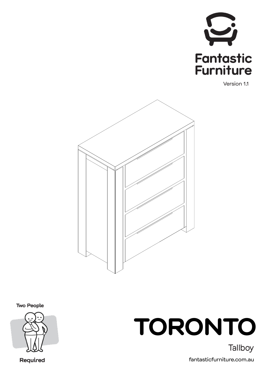

Version 1.1



**Two People** 



Required



fantasticfurniture.com.au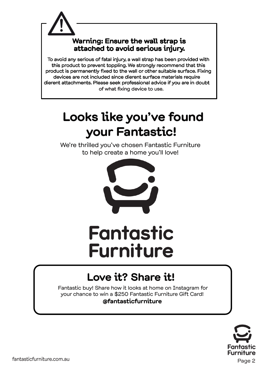

#### **Looks like you've found your Fantastic!**

We're thrilled you've chosen Fantastic Furniture to help create a home you'll love!



## **Fantastic Furniture**

#### **Love it? Share it!**

 Fantastic buy! Share how it looks at home on Instagram for your chance to win a \$250 Fantastic Furniture Gift Card! **@fantasticfurniture**



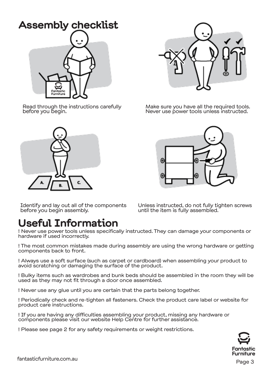# **Assembly checklist** Fantastic

Read through the instructions carefully before you begin.





Make sure you have all the required tools. Never use power tools unless instructed.



Identify and lay out all of the components before you begin assembly.

Unless instructed, do not fully tighten screws until the item is fully assembled.

#### **Useful Information**

! Never use power tools unless specifically instructed. They can damage your components or hardware if used incorrectly.

! The most common mistakes made during assembly are using the wrong hardware or getting components back to front.

! Always use a soft surface (such as carpet or cardboard) when assembling your product to avoid scratching or damaging the surface of the product.

! Bulky items such as wardrobes and bunk beds should be assembled in the room they will be used as they may not fit through a door once assembled.

! Never use any glue until you are certain that the parts belong together.

! Periodically check and re-tighten all fasteners. Check the product care label or website for product care instructions.

! If you are having any difficulties assembling your product, missing any hardware or components please visit our website Help Centre for further assistance.

! Please see page 2 for any safety requirements or weight restrictions.

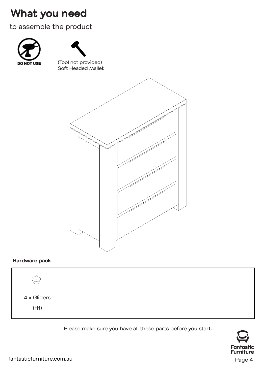#### **What you need**

to assemble the product





(Tool not provided) Soft Headed Mallet



#### **Hardware pack**



Please make sure you have all these parts before you start.

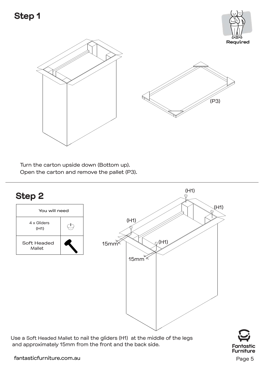



Turn the carton upside down (Bottom up). Open the carton and remove the pallet (P3).



Use a Soft Headed Mallet to nail the gliders (H1) at the middle of the legs and approximately 15mm from the front and the back side.

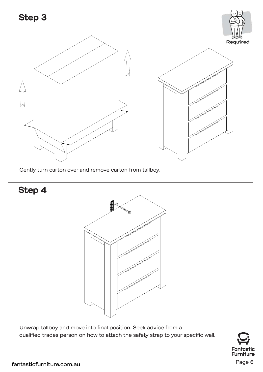#### **Step 3**



Gently turn carton over and remove carton from tallboy.

**Step 4**



Unwrap tallboy and move into final position. Seek advice from a qualified trades person on how to attach the safety strap to your specific wall.